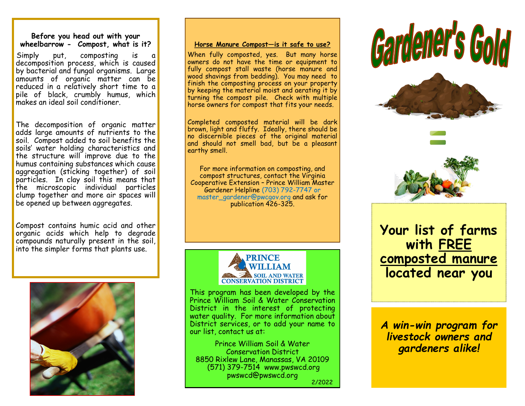#### **Before you head out with your wheelbarrow - Compost, what is it?**

Simply put, composting is decomposition process, which is caused by bacterial and fungal organisms. Large amounts of organic matter can be reduced in a relatively short time to a pile of black, crumbly humus, which makes an ideal soil conditioner.

The decomposition of organic matter adds large amounts of nutrients to the soil. Compost added to soil benefits the soils' water holding characteristics and the structure will improve due to the humus containing substances which cause aggregation (sticking together) of soil particles. In clay soil this means that the microscopic individual particles clump together and more air spaces will be opened up between aggregates.

Compost contains humic acid and other organic acids which help to degrade compounds naturally present in the soil, into the simpler forms that plants use.



#### **Horse Manure Compost—is it safe to use?**

When fully composted, yes. But many horse owners do not have the time or equipment to fully compost stall waste (horse manure and wood shavings from bedding). You may need to finish the composting process on your property by keeping the material moist and aerating it by turning the compost pile. Check with multiple horse owners for compost that fits your needs.

Completed composted material will be dark brown, light and fluffy. Ideally, there should be no discernible pieces of the original material and should not smell bad, but be a pleasant earthy smell.

For more information on composting, and compost structures, contact the Virginia Cooperative Extension – Prince William Master Gardener Helpline (703) 792-7747 or master\_gardener@pwcgov.org and ask for publication 426-325.



This program has been developed by the Prince William Soil & Water Conservation District in the interest of protecting water quality. For more information about District services, or to add your name to our list, contact us at:

Prince William Soil & Water Conservation District 8850 Rixlew Lane, Manassas, VA 20109 (571) 379-7514 www.pwswcd.org pwswcd@pwswcd.org 2/2022







**Your list of farms with FREE composted manure located near you**

*A win-win program for livestock owners and gardeners alike!*